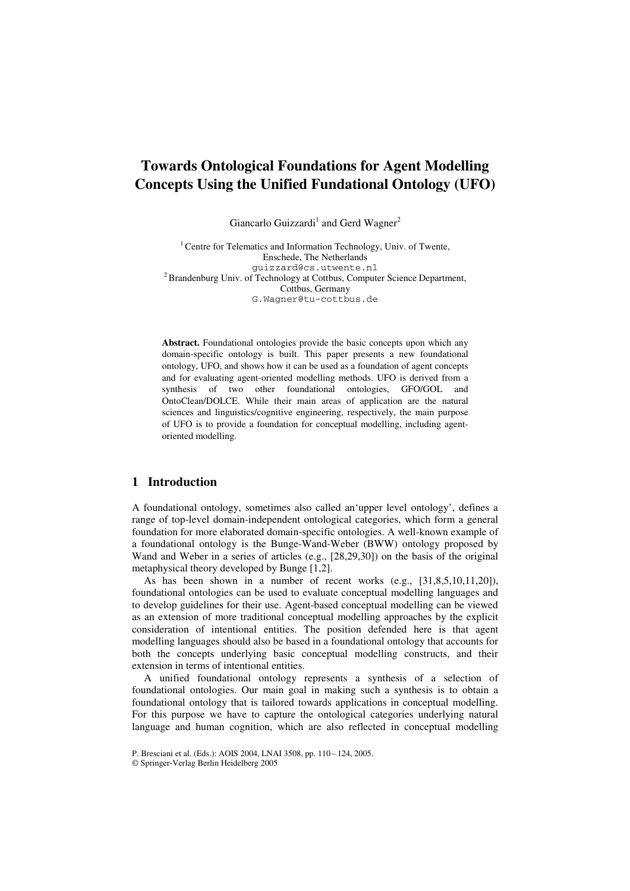# **Towards Ontological Foundations for Agent Modelling Concepts Using the Unified Fundational Ontology (UFO)**

Giancarlo Guizzardi<sup>1</sup> and Gerd Wagner<sup>2</sup>

<sup>1</sup> Centre for Telematics and Information Technology, Univ. of Twente, Enschede, The Netherlands<br>quizzard@cs.utwente.nl  $2$  Brandenburg Univ. of Technology at Cottbus, Computer Science Department, Cottbus, Germany G.Wagner@tu-cottbus.de

**Abstract.** Foundational ontologies provide the basic concepts upon which any domain-specific ontology is built. This paper presents a new foundational ontology, UFO, and shows how it can be used as a foundation of agent concepts and for evaluating agent-oriented modelling methods. UFO is derived from a synthesis of two other foundational ontologies, GFO/GOL and OntoClean/DOLCE. While their main areas of application are the natural sciences and linguistics/cognitive engineering, respectively, the main purpose of UFO is to provide a foundation for conceptual modelling, including agentoriented modelling.

# **1 Introduction**

A foundational ontology, sometimes also called an'upper level ontology', defines a range of top-level domain-independent ontological categories, which form a general foundation for more elaborated domain-specific ontologies. A well-known example of a foundational ontology is the Bunge-Wand-Weber (BWW) ontology proposed by Wand and Weber in a series of articles (e.g., [28,29,30]) on the basis of the original metaphysical theory developed by Bunge [1,2].

As has been shown in a number of recent works (e.g., [31,8,5,10,11,20]), foundational ontologies can be used to evaluate conceptual modelling languages and to develop guidelines for their use. Agent-based conceptual modelling can be viewed as an extension of more traditional conceptual modelling approaches by the explicit consideration of intentional entities. The position defended here is that agent modelling languages should also be based in a foundational ontology that accounts for both the concepts underlying basic conceptual modelling constructs, and their extension in terms of intentional entities.

A unified foundational ontology represents a synthesis of a selection of foundational ontologies. Our main goal in making such a synthesis is to obtain a foundational ontology that is tailored towards applications in conceptual modelling. For this purpose we have to capture the ontological categories underlying natural language and human cognition, which are also reflected in conceptual modelling

P. Bresciani et al. (Eds.): AOIS 2004, LNAI 3508, pp. 110 – 124, 2005.

<sup>©</sup> Springer-Verlag Berlin Heidelberg 2005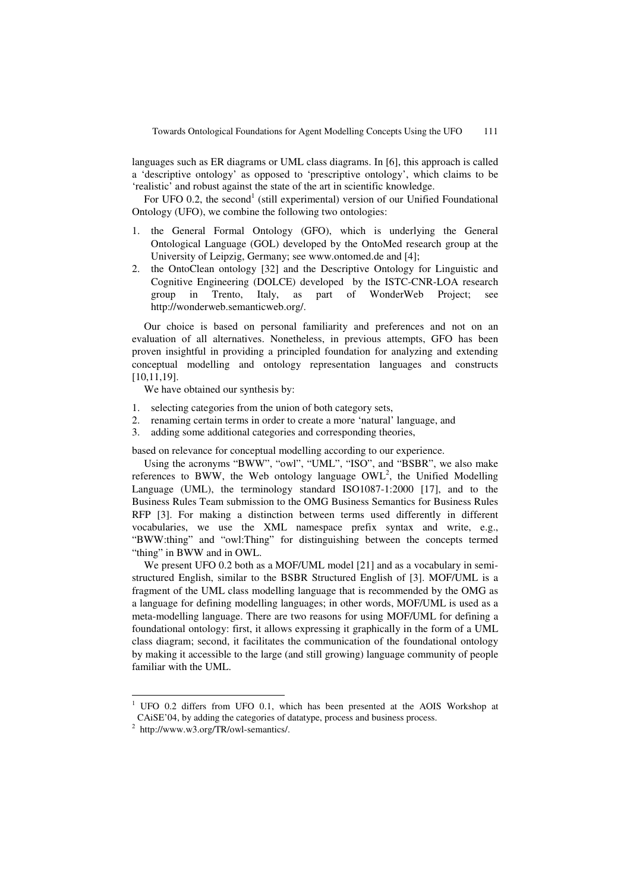languages such as ER diagrams or UML class diagrams. In [6], this approach is called a 'descriptive ontology' as opposed to 'prescriptive ontology', which claims to be 'realistic' and robust against the state of the art in scientific knowledge.

For UFO 0.2, the second<sup>1</sup> (still experimental) version of our Unified Foundational Ontology (UFO), we combine the following two ontologies:

- 1. the General Formal Ontology (GFO), which is underlying the General Ontological Language (GOL) developed by the OntoMed research group at the University of Leipzig, Germany; see www.ontomed.de and [4];
- 2. the OntoClean ontology [32] and the Descriptive Ontology for Linguistic and Cognitive Engineering (DOLCE) developed by the ISTC-CNR-LOA research group in Trento, Italy, as part of WonderWeb Project; see http://wonderweb.semanticweb.org/.

Our choice is based on personal familiarity and preferences and not on an evaluation of all alternatives. Nonetheless, in previous attempts, GFO has been proven insightful in providing a principled foundation for analyzing and extending conceptual modelling and ontology representation languages and constructs [10,11,19].

We have obtained our synthesis by:

- 1. selecting categories from the union of both category sets,
- 2. renaming certain terms in order to create a more 'natural' language, and
- 3. adding some additional categories and corresponding theories,

based on relevance for conceptual modelling according to our experience.

Using the acronyms "BWW", "owl", "UML", "ISO", and "BSBR", we also make references to BWW, the Web ontology language  $\text{OWL}^2$ , the Unified Modelling Language (UML), the terminology standard ISO1087-1:2000 [17], and to the Business Rules Team submission to the OMG Business Semantics for Business Rules RFP [3]. For making a distinction between terms used differently in different vocabularies, we use the XML namespace prefix syntax and write, e.g., "BWW:thing" and "owl:Thing" for distinguishing between the concepts termed "thing" in BWW and in OWL.

We present UFO 0.2 both as a MOF/UML model [21] and as a vocabulary in semistructured English, similar to the BSBR Structured English of [3]. MOF/UML is a fragment of the UML class modelling language that is recommended by the OMG as a language for defining modelling languages; in other words, MOF/UML is used as a meta-modelling language. There are two reasons for using MOF/UML for defining a foundational ontology: first, it allows expressing it graphically in the form of a UML class diagram; second, it facilitates the communication of the foundational ontology by making it accessible to the large (and still growing) language community of people familiar with the UML.

 1 UFO 0.2 differs from UFO 0.1, which has been presented at the AOIS Workshop at CAiSE'04, by adding the categories of datatype, process and business process.

<sup>&</sup>lt;sup>2</sup> http://www.w3.org/TR/owl-semantics/.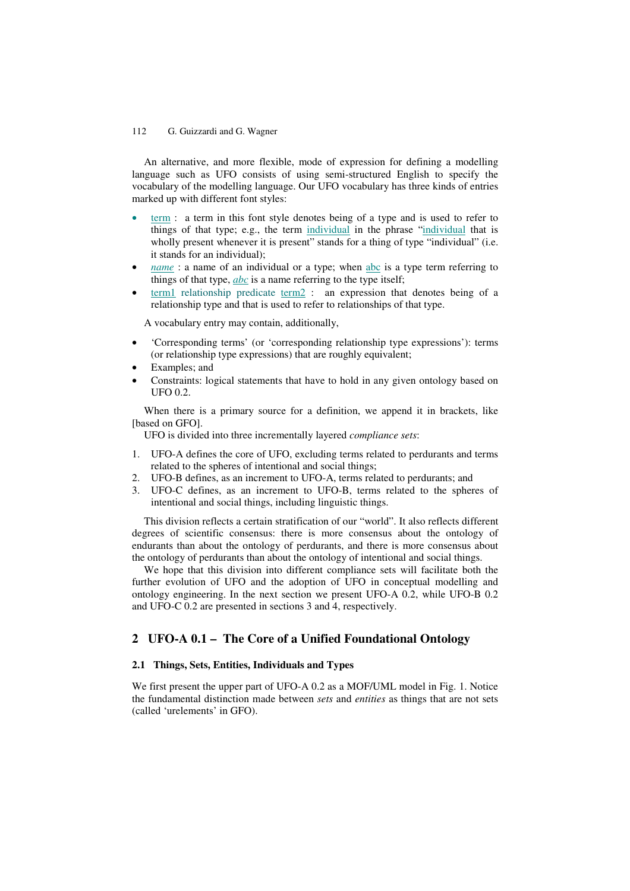An alternative, and more flexible, mode of expression for defining a modelling language such as UFO consists of using semi-structured English to specify the vocabulary of the modelling language. Our UFO vocabulary has three kinds of entries marked up with different font styles:

- term : a term in this font style denotes being of a type and is used to refer to things of that type; e.g., the term individual in the phrase "individual that is wholly present whenever it is present" stands for a thing of type "individual" (i.e. it stands for an individual);
- *name*: a name of an individual or a type; when abc is a type term referring to things of that type, *abc* is a name referring to the type itself;
- $term1$  relationship predicate  $term2$  : an expression that denotes being of a</u></u> relationship type and that is used to refer to relationships of that type.

A vocabulary entry may contain, additionally,

- 'Corresponding terms' (or 'corresponding relationship type expressions'): terms (or relationship type expressions) that are roughly equivalent;
- Examples; and
- Constraints: logical statements that have to hold in any given ontology based on UFO 0.2.

When there is a primary source for a definition, we append it in brackets, like [based on GFO].

UFO is divided into three incrementally layered *compliance sets*:

- 1. UFO-A defines the core of UFO, excluding terms related to perdurants and terms related to the spheres of intentional and social things;
- 2. UFO-B defines, as an increment to UFO-A, terms related to perdurants; and
- 3. UFO-C defines, as an increment to UFO-B, terms related to the spheres of intentional and social things, including linguistic things.

This division reflects a certain stratification of our "world". It also reflects different degrees of scientific consensus: there is more consensus about the ontology of endurants than about the ontology of perdurants, and there is more consensus about the ontology of perdurants than about the ontology of intentional and social things.

We hope that this division into different compliance sets will facilitate both the further evolution of UFO and the adoption of UFO in conceptual modelling and ontology engineering. In the next section we present UFO-A 0.2, while UFO-B 0.2 and UFO-C 0.2 are presented in sections 3 and 4, respectively.

# **2 UFO-A 0.1 – The Core of a Unified Foundational Ontology**

### **2.1 Things, Sets, Entities, Individuals and Types**

We first present the upper part of UFO-A 0.2 as a MOF/UML model in Fig. 1. Notice the fundamental distinction made between *sets* and *entities* as things that are not sets (called 'urelements' in GFO).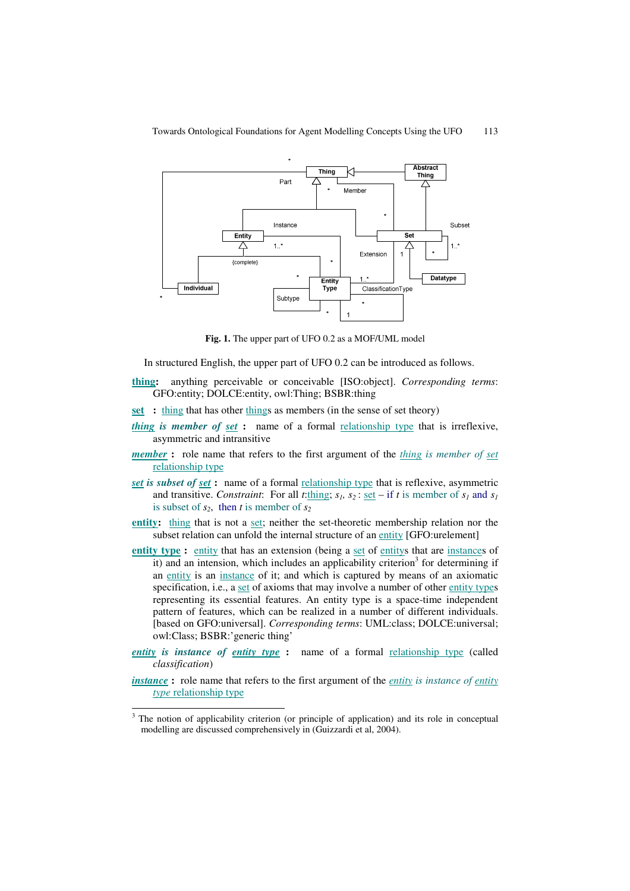

**Fig. 1.** The upper part of UFO 0.2 as a MOF/UML model

In structured English, the upper part of UFO 0.2 can be introduced as follows.

- **thing:** anything perceivable or conceivable [ISO:object]. *Corresponding terms*: GFO:entity; DOLCE:entity, owl:Thing; BSBR:thing
- **set :** thing that has other things as members (in the sense of set theory)
- *thing is member of set* **:** name of a formal relationship type that is irreflexive, asymmetric and intransitive
- *member* **:** role name that refers to the first argument of the *thing is member of set* relationship type
- *set is subset of set* **:** name of a formal relationship type that is reflexive, asymmetric and transitive. *Constraint*: For all *t*:thing;  $s_1$ ,  $s_2$ : set – if *t* is member of  $s_1$  and  $s_1$ is subset of  $s_2$ , then *t* is member of  $s_2$
- **entity:** thing that is not a set; neither the set-theoretic membership relation nor the subset relation can unfold the internal structure of an entity [GFO:urelement]
- **entity type** : entity that has an extension (being a set of entitys that are instances of it) and an intension, which includes an applicability criterion<sup>3</sup> for determining if an entity is an instance of it; and which is captured by means of an axiomatic specification, i.e., a set of axioms that may involve a number of other entity types representing its essential features. An entity type is a space-time independent pattern of features, which can be realized in a number of different individuals. [based on GFO:universal]. *Corresponding terms*: UML:class; DOLCE:universal; owl:Class; BSBR:'generic thing'
- *entity is instance of entity type* : name of a formal relationship type (called *classification*)
- *instance* **:** role name that refers to the first argument of the *entity is instance of entity type* relationship type

 $\overline{\mathbf{3}}$ <sup>3</sup> The notion of applicability criterion (or principle of application) and its role in conceptual modelling are discussed comprehensively in (Guizzardi et al, 2004).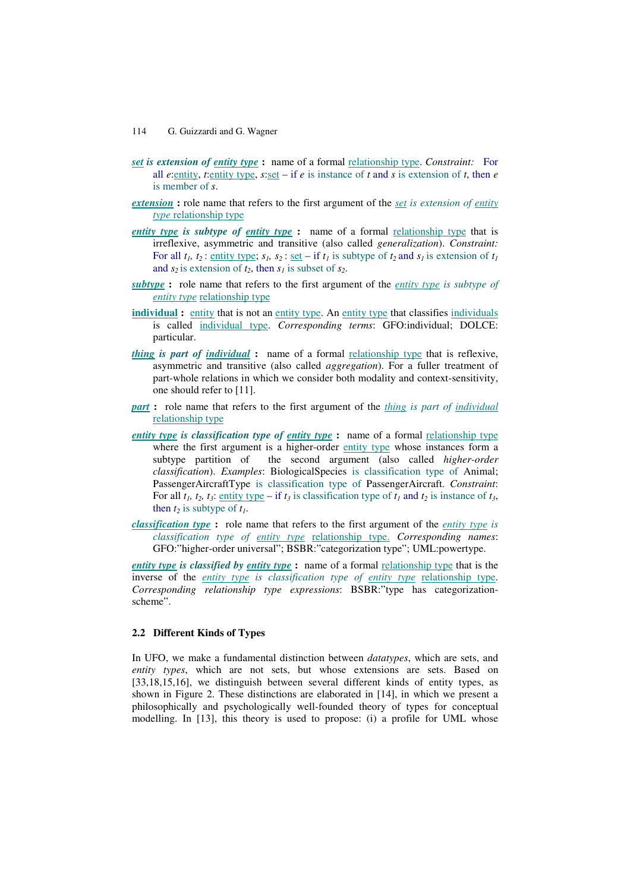- *set is extension of entity type* **:** name of a formal relationship type. *Constraint:* For all *e*:entity, *t*:entity type, *s*:set – if *e* is instance of *t* and *s* is extension of *t*, then *e* is member of *s*.
- *extension* **:** role name that refers to the first argument of the *set is extension of entity type* relationship type
- *entity type is subtype of entity type* **:** name of a formal relationship type that is irreflexive, asymmetric and transitive (also called *generalization*). *Constraint:*  For all  $t_1$ ,  $t_2$ : entity type;  $s_1$ ,  $s_2$ : <u>set</u> – if  $t_1$  is subtype of  $t_2$  and  $s_1$  is extension of  $t_1$ and  $s_2$  is extension of  $t_2$ , then  $s_1$  is subset of  $s_2$ .
- *subtype* **:** role name that refers to the first argument of the *entity type is subtype of entity type* relationship type
- **individual :** entity that is not an entity type. An entity type that classifies individuals is called individual type. *Corresponding terms*: GFO:individual; DOLCE: particular.
- *thing is part of individual* **:** name of a formal relationship type that is reflexive, asymmetric and transitive (also called *aggregation*). For a fuller treatment of part-whole relations in which we consider both modality and context-sensitivity, one should refer to [11].
- *part* **:** role name that refers to the first argument of the *thing is part of individual* relationship type
- *entity type is classification type of entity type* : name of a formal relationship type where the first argument is a higher-order entity type whose instances form a subtype partition of the second argument (also called *higher-order classification*). *Examples*: BiologicalSpecies is classification type of Animal; PassengerAircraftType is classification type of PassengerAircraft. *Constraint*: For all  $t_1$ ,  $t_2$ ,  $t_3$ : entity type – if  $t_3$  is classification type of  $t_1$  and  $t_2$  is instance of  $t_3$ , then  $t_2$  is subtype of  $t_1$ .
- *classification type* **:** role name that refers to the first argument of the *entity type is classification type of entity type* relationship type. *Corresponding names*: GFO:"higher-order universal"; BSBR:"categorization type"; UML:powertype.

*entity type is classified by entity type* **:** name of a formal relationship type that is the inverse of the *entity type is classification type of entity type* relationship type. *Corresponding relationship type expressions*: BSBR:"type has categorizationscheme".

## **2.2 Different Kinds of Types**

In UFO, we make a fundamental distinction between *datatypes*, which are sets, and *entity types*, which are not sets, but whose extensions are sets. Based on [33,18,15,16], we distinguish between several different kinds of entity types, as shown in Figure 2. These distinctions are elaborated in [14], in which we present a philosophically and psychologically well-founded theory of types for conceptual modelling. In [13], this theory is used to propose: (i) a profile for UML whose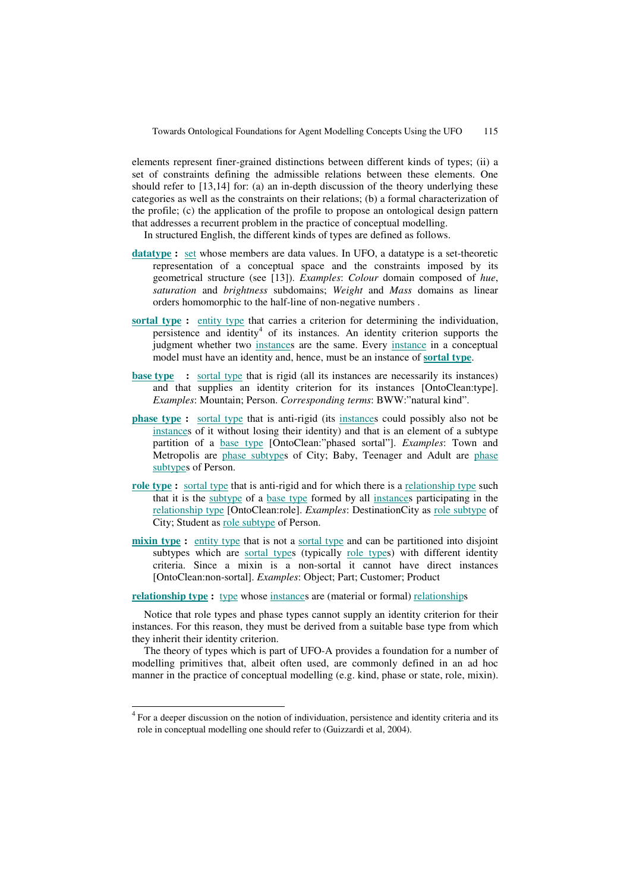elements represent finer-grained distinctions between different kinds of types; (ii) a set of constraints defining the admissible relations between these elements. One should refer to [13,14] for: (a) an in-depth discussion of the theory underlying these categories as well as the constraints on their relations; (b) a formal characterization of the profile; (c) the application of the profile to propose an ontological design pattern that addresses a recurrent problem in the practice of conceptual modelling.

In structured English, the different kinds of types are defined as follows.

- **datatype** : set whose members are data values. In UFO, a datatype is a set-theoretic representation of a conceptual space and the constraints imposed by its geometrical structure (see [13]). *Examples*: *Colour* domain composed of *hue*, *saturation* and *brightness* subdomains; *Weight* and *Mass* domains as linear orders homomorphic to the half-line of non-negative numbers .
- **sortal type :** entity type that carries a criterion for determining the individuation, persistence and identity<sup>4</sup> of its instances. An identity criterion supports the judgment whether two instances are the same. Every instance in a conceptual model must have an identity and, hence, must be an instance of **sortal type**.
- **base type** : sortal type that is rigid (all its instances are necessarily its instances) and that supplies an identity criterion for its instances [OntoClean:type]. *Examples*: Mountain; Person. *Corresponding terms*: BWW:"natural kind".
- **phase type :** sortal type that is anti-rigid (its instances could possibly also not be instances of it without losing their identity) and that is an element of a subtype partition of a base type [OntoClean:"phased sortal"]. *Examples*: Town and Metropolis are phase subtypes of City; Baby, Teenager and Adult are phase subtypes of Person.
- **role type**: sortal type that is anti-rigid and for which there is a relationship type such that it is the subtype of a base type formed by all instances participating in the relationship type [OntoClean:role]. *Examples*: DestinationCity as role subtype of City; Student as role subtype of Person.
- **mixin type** : entity type that is not a sortal type and can be partitioned into disjoint subtypes which are sortal types (typically role types) with different identity criteria. Since a mixin is a non-sortal it cannot have direct instances [OntoClean:non-sortal]. *Examples*: Object; Part; Customer; Product

**relationship type :** type whose instances are (material or formal) relationships

Notice that role types and phase types cannot supply an identity criterion for their instances. For this reason, they must be derived from a suitable base type from which they inherit their identity criterion.

The theory of types which is part of UFO-A provides a foundation for a number of modelling primitives that, albeit often used, are commonly defined in an ad hoc manner in the practice of conceptual modelling (e.g. kind, phase or state, role, mixin).

j

<sup>&</sup>lt;sup>4</sup> For a deeper discussion on the notion of individuation, persistence and identity criteria and its role in conceptual modelling one should refer to (Guizzardi et al, 2004).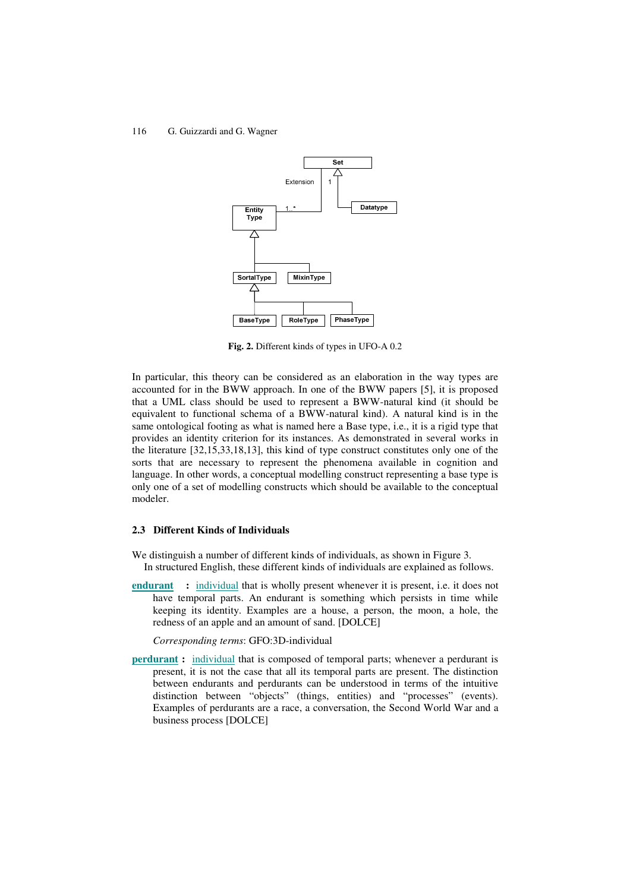

**Fig. 2.** Different kinds of types in UFO-A 0.2

In particular, this theory can be considered as an elaboration in the way types are accounted for in the BWW approach. In one of the BWW papers [5], it is proposed that a UML class should be used to represent a BWW-natural kind (it should be equivalent to functional schema of a BWW-natural kind). A natural kind is in the same ontological footing as what is named here a Base type, i.e., it is a rigid type that provides an identity criterion for its instances. As demonstrated in several works in the literature [32,15,33,18,13], this kind of type construct constitutes only one of the sorts that are necessary to represent the phenomena available in cognition and language. In other words, a conceptual modelling construct representing a base type is only one of a set of modelling constructs which should be available to the conceptual modeler.

### **2.3 Different Kinds of Individuals**

- We distinguish a number of different kinds of individuals, as shown in Figure 3. In structured English, these different kinds of individuals are explained as follows.
- **endurant :** individual that is wholly present whenever it is present, i.e. it does not have temporal parts. An endurant is something which persists in time while keeping its identity. Examples are a house, a person, the moon, a hole, the redness of an apple and an amount of sand. [DOLCE]

*Corresponding terms*: GFO:3D-individual

**perdurant**: individual that is composed of temporal parts; whenever a perdurant is present, it is not the case that all its temporal parts are present. The distinction between endurants and perdurants can be understood in terms of the intuitive distinction between "objects" (things, entities) and "processes" (events). Examples of perdurants are a race, a conversation, the Second World War and a business process [DOLCE]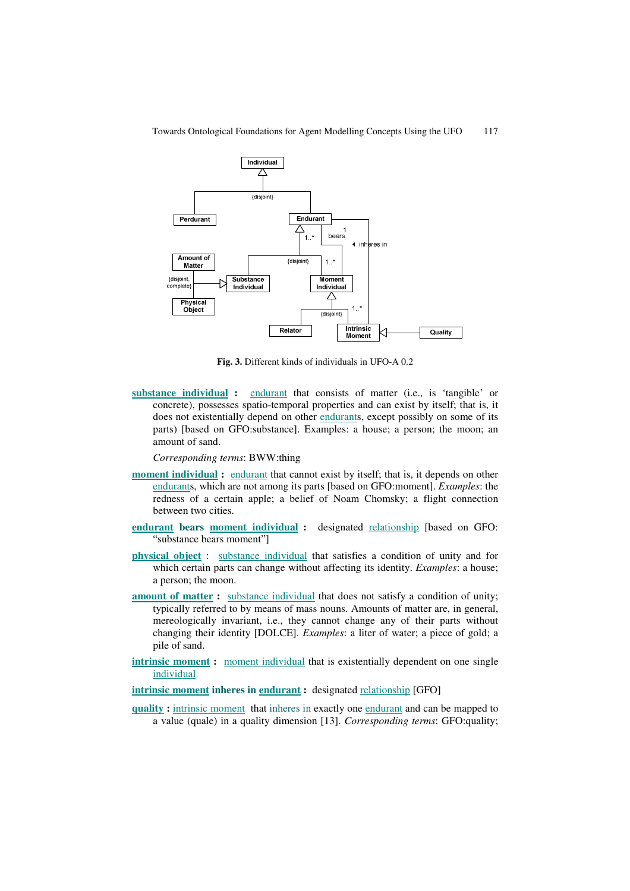

Towards Ontological Foundations for Agent Modelling Concepts Using the UFO 117

**Fig. 3.** Different kinds of individuals in UFO-A 0.2

**substance individual :** endurant that consists of matter (i.e., is 'tangible' or concrete), possesses spatio-temporal properties and can exist by itself; that is, it does not existentially depend on other endurants, except possibly on some of its parts) [based on GFO:substance]. Examples: a house; a person; the moon; an amount of sand.

*Corresponding terms*: BWW:thing

- **moment individual :** endurant that cannot exist by itself; that is, it depends on other endurants, which are not among its parts [based on GFO:moment]. *Examples*: the redness of a certain apple; a belief of Noam Chomsky; a flight connection between two cities.
- **endurant bears moment individual :** designated relationship [based on GFO: "substance bears moment"]
- **physical object** : substance individual that satisfies a condition of unity and for which certain parts can change without affecting its identity. *Examples*: a house; a person; the moon.
- **amount of matter :** substance individual that does not satisfy a condition of unity; typically referred to by means of mass nouns. Amounts of matter are, in general, mereologically invariant, i.e., they cannot change any of their parts without changing their identity [DOLCE]. *Examples*: a liter of water; a piece of gold; a pile of sand.
- **intrinsic moment :** moment individual that is existentially dependent on one single individual
- **intrinsic moment inheres in endurant :** designated relationship [GFO]
- **quality :** intrinsic moment that inheres in exactly one endurant and can be mapped to a value (quale) in a quality dimension [13]. *Corresponding terms*: GFO:quality;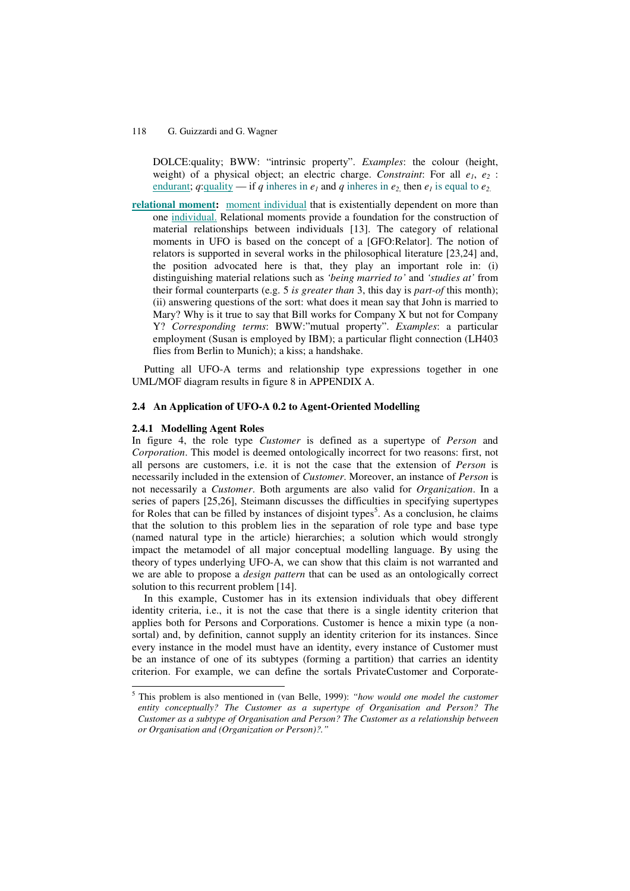DOLCE:quality; BWW: "intrinsic property". *Examples*: the colour (height, weight) of a physical object; an electric charge. *Constraint*: For all  $e_1$ ,  $e_2$ : endurant; *q*:quality — if *q* inheres in  $e_1$  and *q* inheres in  $e_2$  then  $e_1$  is equal to  $e_2$ .

**relational moment:** moment individual that is existentially dependent on more than one individual. Relational moments provide a foundation for the construction of material relationships between individuals [13]. The category of relational moments in UFO is based on the concept of a [GFO:Relator]. The notion of relators is supported in several works in the philosophical literature [23,24] and, the position advocated here is that, they play an important role in: (i) distinguishing material relations such as *'being married to'* and *'studies at'* from their formal counterparts (e.g. 5 *is greater than* 3, this day is *part-of* this month); (ii) answering questions of the sort: what does it mean say that John is married to Mary? Why is it true to say that Bill works for Company X but not for Company Y? *Corresponding terms*: BWW:"mutual property". *Examples*: a particular employment (Susan is employed by IBM); a particular flight connection (LH403 flies from Berlin to Munich); a kiss; a handshake.

Putting all UFO-A terms and relationship type expressions together in one UML/MOF diagram results in figure 8 in APPENDIX A.

#### **2.4 An Application of UFO-A 0.2 to Agent-Oriented Modelling**

#### **2.4.1 Modelling Agent Roles**

-

In figure 4, the role type *Customer* is defined as a supertype of *Person* and *Corporation*. This model is deemed ontologically incorrect for two reasons: first, not all persons are customers, i.e. it is not the case that the extension of *Person* is necessarily included in the extension of *Customer*. Moreover, an instance of *Person* is not necessarily a *Customer*. Both arguments are also valid for *Organization*. In a series of papers [25,26], Steimann discusses the difficulties in specifying supertypes for Roles that can be filled by instances of disjoint types<sup>5</sup>. As a conclusion, he claims that the solution to this problem lies in the separation of role type and base type (named natural type in the article) hierarchies; a solution which would strongly impact the metamodel of all major conceptual modelling language. By using the theory of types underlying UFO-A, we can show that this claim is not warranted and we are able to propose a *design pattern* that can be used as an ontologically correct solution to this recurrent problem [14].

In this example, Customer has in its extension individuals that obey different identity criteria, i.e., it is not the case that there is a single identity criterion that applies both for Persons and Corporations. Customer is hence a mixin type (a nonsortal) and, by definition, cannot supply an identity criterion for its instances. Since every instance in the model must have an identity, every instance of Customer must be an instance of one of its subtypes (forming a partition) that carries an identity criterion. For example, we can define the sortals PrivateCustomer and Corporate-

<sup>5</sup> This problem is also mentioned in (van Belle, 1999): *"how would one model the customer entity conceptually? The Customer as a supertype of Organisation and Person? The Customer as a subtype of Organisation and Person? The Customer as a relationship between or Organisation and (Organization or Person)?."*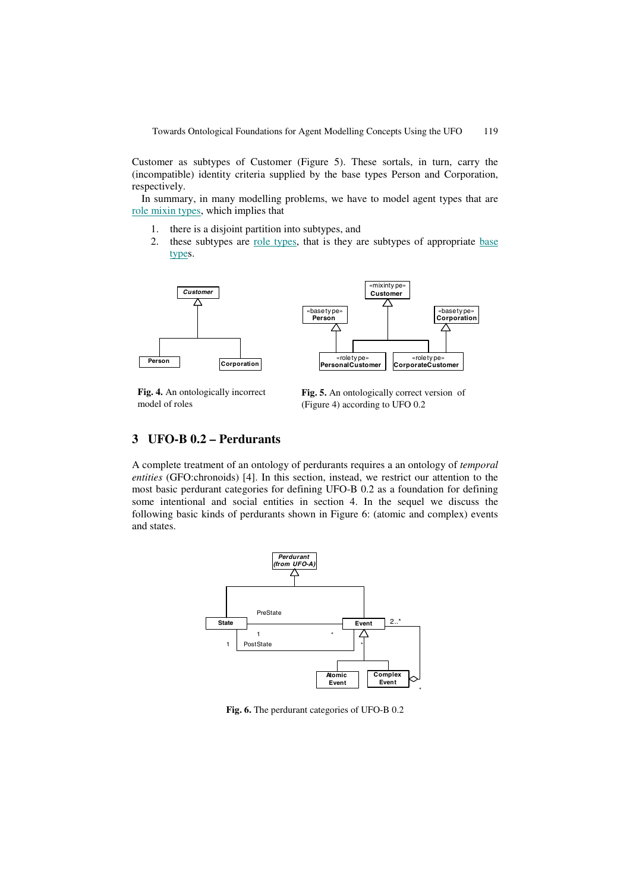Customer as subtypes of Customer (Figure 5). These sortals, in turn, carry the (incompatible) identity criteria supplied by the base types Person and Corporation, respectively.

In summary, in many modelling problems, we have to model agent types that are role mixin types, which implies that

- 1. there is a disjoint partition into subtypes, and
- 2. these subtypes are role types, that is they are subtypes of appropriate base types.





**Fig. 4.** An ontologically incorrect model of roles

**Fig. 5.** An ontologically correct version of (Figure 4) according to UFO 0.2

# **3 UFO-B 0.2 – Perdurants**

A complete treatment of an ontology of perdurants requires a an ontology of *temporal entities* (GFO:chronoids) [4]. In this section, instead, we restrict our attention to the most basic perdurant categories for defining UFO-B 0.2 as a foundation for defining some intentional and social entities in section 4. In the sequel we discuss the following basic kinds of perdurants shown in Figure 6: (atomic and complex) events and states.



**Fig. 6.** The perdurant categories of UFO-B 0.2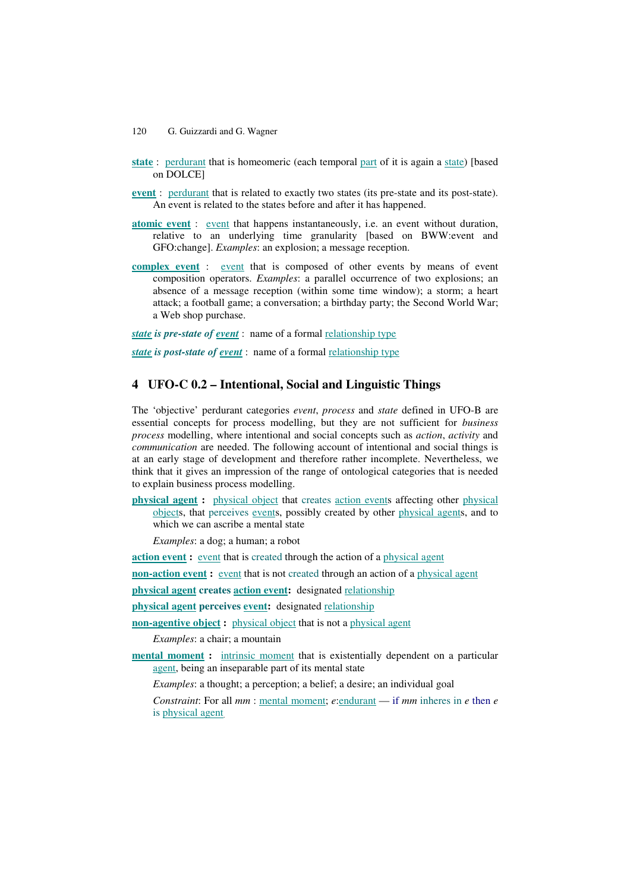- **state** : perdurant that is homeomeric (each temporal part of it is again a state) [based on DOLCE]
- **event** : perdurant that is related to exactly two states (its pre-state and its post-state). An event is related to the states before and after it has happened.
- **atomic event** : event that happens instantaneously, i.e. an event without duration, relative to an underlying time granularity [based on BWW:event and GFO:change]. *Examples*: an explosion; a message reception.
- complex event : event that is composed of other events by means of event composition operators. *Examples*: a parallel occurrence of two explosions; an absence of a message reception (within some time window); a storm; a heart attack; a football game; a conversation; a birthday party; the Second World War; a Web shop purchase.

*state is pre-state of event* : name of a formal relationship type

*state is post-state of event* : name of a formal relationship type

## **4 UFO-C 0.2 – Intentional, Social and Linguistic Things**

The 'objective' perdurant categories *event*, *process* and *state* defined in UFO-B are essential concepts for process modelling, but they are not sufficient for *business process* modelling, where intentional and social concepts such as *action*, *activity* and *communication* are needed. The following account of intentional and social things is at an early stage of development and therefore rather incomplete. Nevertheless, we think that it gives an impression of the range of ontological categories that is needed to explain business process modelling.

**physical agent :** physical object that creates action events affecting other physical objects, that perceives events, possibly created by other physical agents, and to which we can ascribe a mental state

*Examples*: a dog; a human; a robot

**action event** : event that is created through the action of a physical agent

**non-action event :** event that is not created through an action of a physical agent

**physical agent creates action event:** designated relationship

**physical agent perceives <b>event**: designated relationship

**non-agentive object :** physical object that is not a physical agent

*Examples*: a chair; a mountain

**mental moment :** intrinsic moment that is existentially dependent on a particular agent, being an inseparable part of its mental state

*Examples*: a thought; a perception; a belief; a desire; an individual goal

*Constraint*: For all *mm* : mental moment; *e*:endurant — if *mm* inheres in *e* then *e*  is physical agent.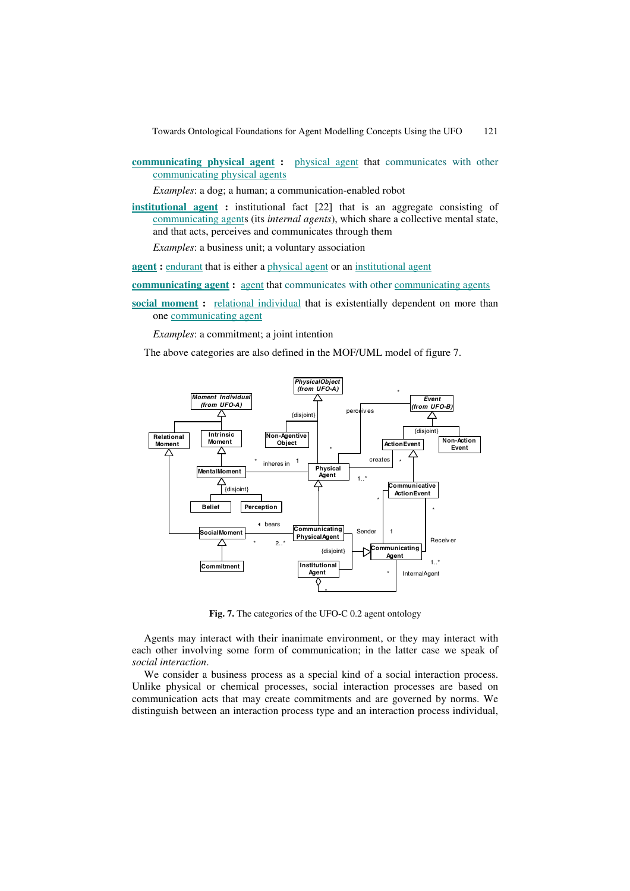Towards Ontological Foundations for Agent Modelling Concepts Using the UFO 121

**communicating physical agent :** physical agent that communicates with other communicating physical agents

*Examples*: a dog; a human; a communication-enabled robot

**institutional agent :** institutional fact [22] that is an aggregate consisting of communicating agents (its *internal agents*), which share a collective mental state, and that acts, perceives and communicates through them

*Examples*: a business unit; a voluntary association

**agent** : endurant that is either a physical agent or an institutional agent

**communicating agent :** agent that communicates with other communicating agents

**social moment :** relational individual that is existentially dependent on more than one communicating agent

*Examples*: a commitment; a joint intention

The above categories are also defined in the MOF/UML model of figure 7.



**Fig. 7.** The categories of the UFO-C 0.2 agent ontology

Agents may interact with their inanimate environment, or they may interact with each other involving some form of communication; in the latter case we speak of *social interaction*.

We consider a business process as a special kind of a social interaction process. Unlike physical or chemical processes, social interaction processes are based on communication acts that may create commitments and are governed by norms. We distinguish between an interaction process type and an interaction process individual,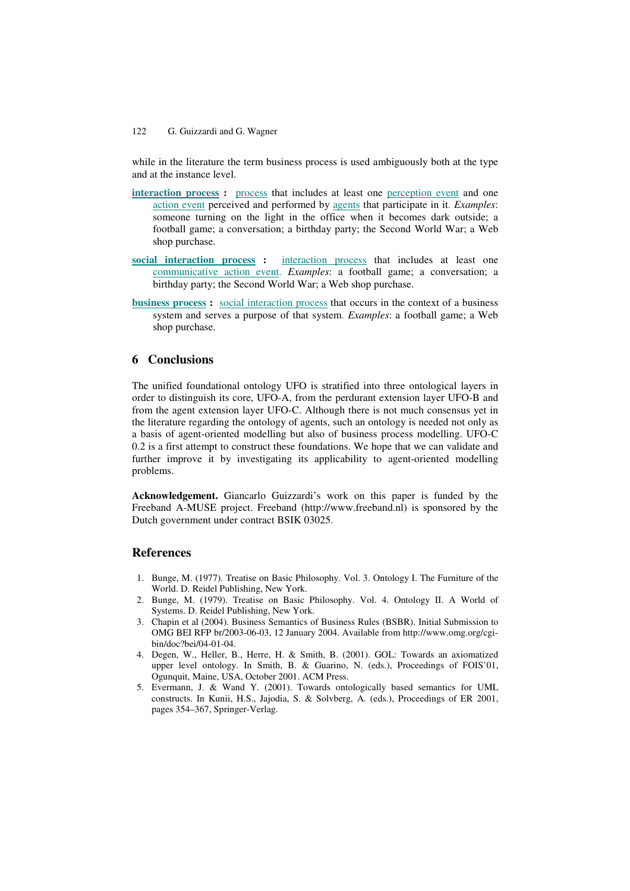while in the literature the term business process is used ambiguously both at the type and at the instance level.

- **interaction process :** process that includes at least one perception event and one action event perceived and performed by agents that participate in it. *Examples*: someone turning on the light in the office when it becomes dark outside; a football game; a conversation; a birthday party; the Second World War; a Web shop purchase.
- **social interaction process :** interaction process that includes at least one communicative action event. *Examples*: a football game; a conversation; a birthday party; the Second World War; a Web shop purchase.
- **business process :** social interaction process that occurs in the context of a business system and serves a purpose of that system. *Examples*: a football game; a Web shop purchase.

# **6 Conclusions**

The unified foundational ontology UFO is stratified into three ontological layers in order to distinguish its core, UFO-A, from the perdurant extension layer UFO-B and from the agent extension layer UFO-C. Although there is not much consensus yet in the literature regarding the ontology of agents, such an ontology is needed not only as a basis of agent-oriented modelling but also of business process modelling. UFO-C 0.2 is a first attempt to construct these foundations. We hope that we can validate and further improve it by investigating its applicability to agent-oriented modelling problems.

**Acknowledgement.** Giancarlo Guizzardi's work on this paper is funded by the Freeband A-MUSE project. Freeband (http://www.freeband.nl) is sponsored by the Dutch government under contract BSIK 03025.

# **References**

- 1. Bunge, M. (1977). Treatise on Basic Philosophy. Vol. 3. Ontology I. The Furniture of the World. D. Reidel Publishing, New York.
- 2. Bunge, M. (1979). Treatise on Basic Philosophy. Vol. 4. Ontology II. A World of Systems. D. Reidel Publishing, New York.
- 3. Chapin et al (2004). Business Semantics of Business Rules (BSBR). Initial Submission to OMG BEI RFP br/2003-06-03, 12 January 2004. Available from http://www.omg.org/cgibin/doc?bei/04-01-04.
- 4. Degen, W., Heller, B., Herre, H. & Smith, B. (2001). GOL: Towards an axiomatized upper level ontology. In Smith, B. & Guarino, N. (eds.), Proceedings of FOIS'01, Ogunquit, Maine, USA, October 2001. ACM Press.
- 5. Evermann, J. & Wand Y. (2001). Towards ontologically based semantics for UML constructs. In Kunii, H.S., Jajodia, S. & Solvberg, A. (eds.), Proceedings of ER 2001, pages 354–367, Springer-Verlag.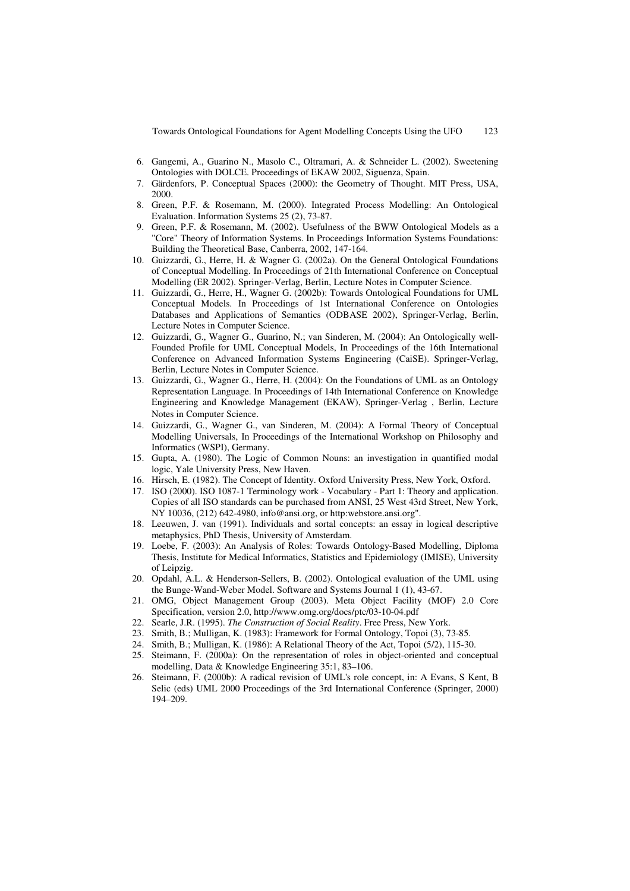- 6. Gangemi, A., Guarino N., Masolo C., Oltramari, A. & Schneider L. (2002). Sweetening Ontologies with DOLCE. Proceedings of EKAW 2002, Siguenza, Spain.
- 7. Gärdenfors, P. Conceptual Spaces (2000): the Geometry of Thought. MIT Press, USA, 2000.
- 8. Green, P.F. & Rosemann, M. (2000). Integrated Process Modelling: An Ontological Evaluation. Information Systems 25 (2), 73-87.
- 9. Green, P.F. & Rosemann, M. (2002). Usefulness of the BWW Ontological Models as a "Core" Theory of Information Systems. In Proceedings Information Systems Foundations: Building the Theoretical Base, Canberra, 2002, 147-164.
- 10. Guizzardi, G., Herre, H. & Wagner G. (2002a). On the General Ontological Foundations of Conceptual Modelling. In Proceedings of 21th International Conference on Conceptual Modelling (ER 2002). Springer-Verlag, Berlin, Lecture Notes in Computer Science.
- 11. Guizzardi, G., Herre, H., Wagner G. (2002b): Towards Ontological Foundations for UML Conceptual Models. In Proceedings of 1st International Conference on Ontologies Databases and Applications of Semantics (ODBASE 2002), Springer-Verlag, Berlin, Lecture Notes in Computer Science.
- 12. Guizzardi, G., Wagner G., Guarino, N.; van Sinderen, M. (2004): An Ontologically well-Founded Profile for UML Conceptual Models, In Proceedings of the 16th International Conference on Advanced Information Systems Engineering (CaiSE). Springer-Verlag, Berlin, Lecture Notes in Computer Science.
- 13. Guizzardi, G., Wagner G., Herre, H. (2004): On the Foundations of UML as an Ontology Representation Language. In Proceedings of 14th International Conference on Knowledge Engineering and Knowledge Management (EKAW), Springer-Verlag , Berlin, Lecture Notes in Computer Science.
- 14. Guizzardi, G., Wagner G., van Sinderen, M. (2004): A Formal Theory of Conceptual Modelling Universals, In Proceedings of the International Workshop on Philosophy and Informatics (WSPI), Germany.
- 15. Gupta, A. (1980). The Logic of Common Nouns: an investigation in quantified modal logic, Yale University Press, New Haven.
- 16. Hirsch, E. (1982). The Concept of Identity. Oxford University Press, New York, Oxford.
- 17. ISO (2000). ISO 1087-1 Terminology work Vocabulary Part 1: Theory and application. Copies of all ISO standards can be purchased from ANSI, 25 West 43rd Street, New York, NY 10036, (212) 642-4980, info@ansi.org, or http:webstore.ansi.org".
- 18. Leeuwen, J. van (1991). Individuals and sortal concepts: an essay in logical descriptive metaphysics, PhD Thesis, University of Amsterdam.
- 19. Loebe, F. (2003): An Analysis of Roles: Towards Ontology-Based Modelling, Diploma Thesis, Institute for Medical Informatics, Statistics and Epidemiology (IMISE), University of Leipzig.
- 20. Opdahl, A.L. & Henderson-Sellers, B. (2002). Ontological evaluation of the UML using the Bunge-Wand-Weber Model. Software and Systems Journal 1 (1), 43-67.
- 21. OMG, Object Management Group (2003). Meta Object Facility (MOF) 2.0 Core Specification, version 2.0, http://www.omg.org/docs/ptc/03-10-04.pdf
- 22. Searle, J.R. (1995). *The Construction of Social Reality*. Free Press, New York.
- 23. Smith, B.; Mulligan, K. (1983): Framework for Formal Ontology, Topoi (3), 73-85.
- 24. Smith, B.; Mulligan, K. (1986): A Relational Theory of the Act, Topoi (5/2), 115-30.
- 25. Steimann, F. (2000a): On the representation of roles in object-oriented and conceptual modelling, Data & Knowledge Engineering 35:1, 83–106.
- 26. Steimann, F. (2000b): A radical revision of UML's role concept, in: A Evans, S Kent, B Selic (eds) UML 2000 Proceedings of the 3rd International Conference (Springer, 2000) 194–209.